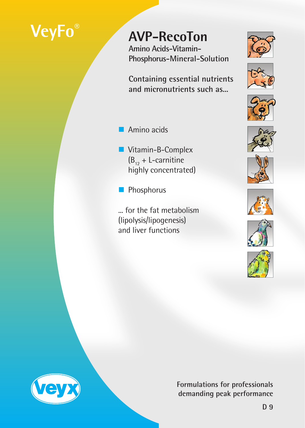# **VeyFo®**

## **AVP-RecoTon**

**Amino Acids-Vitamin-Phosphorus-Mineral-Solution**

**Containing essential nutrients and micronutrients such as...**

- **Amino acids**
- Vitamin-B-Complex  $(B_{12} + L$ -carnitine highly concentrated)
- Phosphorus
- ... for the fat metabolism (lipolysis/lipogenesis) and liver functions



















**Formulations for professionals demanding peak performance**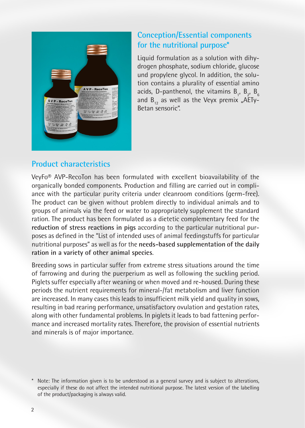

### **Conception/Essential components for the nutritional purpose\***

Liquid formulation as a solution with dihydrogen phosphate, sodium chloride, glucose und propylene glycol. In addition, the solution contains a plurality of essential amino acids, D-panthenol, the vitamins  $B_{1}$ ,  $B_{2}$ ,  $B_{6}$ and  $B_{12}$  as well as the Veyx premix "AETy-Betan sensoric".

#### **Product characteristics**

VeyFo® AVP-RecoTon has been formulated with excellent bioavailability of the organically bonded components. Production and filling are carried out in compliance with the particular purity criteria under cleanroom conditions (germ-free). The product can be given without problem directly to individual animals and to groups of animals via the feed or water to appropriately supplement the standard ration. The product has been formulated as a dietetic complementary feed for the **reduction of stress reactions in pigs** according to the particular nutritional purposes as defined in the "List of intended uses of animal feedingstuffs for particular nutritional purposes" as well as for the **needs-based supplementation of the daily ration in a variety of other animal species**.

Breeding sows in particular suffer from extreme stress situations around the time of farrowing and during the puerperium as well as following the suckling period. Piglets suffer especially after weaning or when moved and re-housed. During these periods the nutrient requirements for mineral-/fat metabolism and liver function are increased. In many cases this leads to insufficient milk yield and quality in sows, resulting in bad rearing performance, unsatisfactory ovulation and gestation rates, along with other fundamental problems. In piglets it leads to bad fattening performance and increased mortality rates. Therefore, the provision of essential nutrients and minerals is of major importance.

Note: The information given is to be understood as a general survey and is subject to alterations, especially if these do not affect the intended nutritional purpose. The latest version of the labelling of the product/packaging is always valid.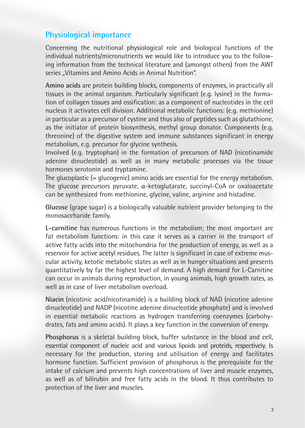#### **Physiological importance**

Concerning the nutritional physiological role and biological functions of the individual nutrients/micronutrients we would like to introduce you to the following information from the technical literature and (amongst others) from the AWT series "Vitamins and Amino Acids in Animal Nutrition".

**Amino acids** are protein building blocks, components of enzymes, in practically all tissues in the animal organism. Particularly significant (e.g. lysine) in the formation of collagen tissues and ossification: as a component of nucleotides in the cell nucleus it activates cell division. Additional metabolic functions: (e.g. methionine) in particular as a precursor of cystine and thus also of peptides such as glutathione, as the initiator of protein biosynthesis, methyl group donator. Components (e.g. threonine) of the digestive system and immune substances significant in energy metabolism, e.g. precursor for glycine synthesis.

Involved (e.g. tryptophan) in the formation of precursors of NAD (nicotinamide adenine dinucleotide) as well as in many metabolic processes via the tissue hormones serotonin and tryptamine.

The glucoplastic (= glucogenic) amino acids are essential for the energy metabolism. The glucose precursors pyruvate, α-ketoglutarate, succinyl-CoA or oxaloacetate can be synthesized from methionine, glycine, valine, arginine and histadine.

**Glucose** (grape sugar) is a biologically valuable nutrient provider belonging to the monosaccharide family.

**L-carnitine** has numerous functions in the metabolism; the most important are fat metabolism functions: in this case it serves as a carrier in the transport of active fatty acids into the mitochondria for the production of energy, as well as a reservoir for active acetyl residues. The latter is significant in case of extreme muscular activity, ketotic metabolic states as well as in hunger situations and presents quantitatively by far the highest level of demand. A high demand for L-Carnitine can occur in animals during reproduction, in young animals, high growth rates, as well as in case of liver metabolism overload.

**Niacin** (nicotinic acid/nicotinamide) is a building block of NAD (nicotine adenine dinucleotide) and NADP (nicotine adenine dinucleotide phosphate) and is involved in essential metabolic reactions as hydrogen transferring coenzymes (carbohydrates, fats and amino acids). It plays a key function in the conversion of energy.

**Phosphorus** is a skeletal building block, buffer substance in the blood and cell, essential component of nucleic acid and various lipoids and proteids, respectively. Is necessary for the production, storing and utilisation of energy and facilitates hormone function. Sufficient provision of phosphorus is the prerequisite for the intake of calcium and prevents high concentrations of liver and muscle enzymes, as well as of bilirubin and free fatty acids in the blood. It thus contributes to protection of the liver and muscles.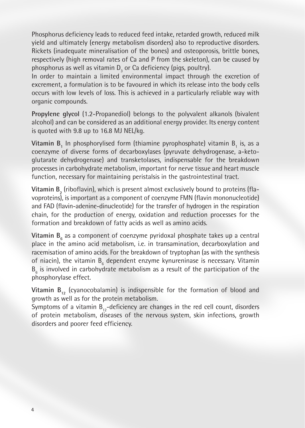Phosphorus deficiency leads to reduced feed intake, retarded growth, reduced milk yield and ultimately (energy metabolism disorders) also to reproductive disorders. Rickets (inadequate mineralisation of the bones) and osteoporosis, brittle bones, respectively (high removal rates of Ca and P from the skeleton), can be caused by phosphorus as well as vitamin  $\mathsf{D}_{_3}$  or Ca deficiency (pigs, poultry).

In order to maintain a limited environmental impact through the excretion of excrement, a formulation is to be favoured in which its release into the body cells occurs with low levels of loss. This is achieved in a particularly reliable way with organic compounds.

**Propylene glycol** (1.2-Propanediol) belongs to the polyvalent alkanols (bivalent alcohol) and can be considered as an additional energy provider. Its energy content is quoted with 9.8 up to 16.8 MJ NEL/kg.

 ${\sf Vitamin\ B}_1$  In phosphorylised form (thiamine pyrophosphate) vitamin  ${\sf B}_1$  is, as a coenzyme of diverse forms of decarboxylases (pyruvate dehydrogenase, a-ketoglutarate dehydrogenase) and transketolases, indispensable for the breakdown processes in carbohydrate metabolism, important for nerve tissue and heart muscle function, necessary for maintaining peristalsis in the gastrointestinal tract.

**Vitamin B<sub>2</sub>** (riboflavin), which is present almost exclusively bound to proteins (flavoproteins), is important as a component of coenzyme FMN (flavin mononucleotide) and FAD (flavin-adenine-dinucleotide) for the transfer of hydrogen in the respiration chain, for the production of energy, oxidation and reduction processes for the formation and breakdown of fatty acids as well as amino acids.

**Vitamin B<sub>6</sub> as a component of coenzyme pyridoxal phosphate takes up a central** place in the amino acid metabolism, i.e. in transamination, decarboxylation and racemisation of amino acids. For the breakdown of tryptophan (as with the synthesis of niacin), the vitamin B<sub>6</sub> dependent enzyme kynureninase is necessary. Vitamin  $B_{\varepsilon}$  is involved in carbohydrate metabolism as a result of the participation of the phosphorylase effect.

**Vitamin B<sub>12</sub>** (cyanocobalamin) is indispensible for the formation of blood and growth as well as for the protein metabolism.

Symptoms of a vitamin  $B_{12}$ -deficiency are changes in the red cell count, disorders of protein metabolism, diseases of the nervous system, skin infections, growth disorders and poorer feed efficiency.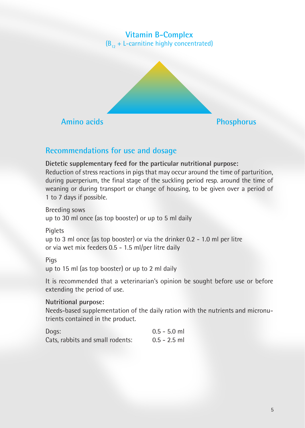#### **Vitamin B-Complex**  $(B_{12} + L$ -carnitine highly concentrated)



#### **Recommendations for use and dosage**

**Dietetic supplementary feed for the particular nutritional purpose:**

Reduction of stress reactions in pigs that may occur around the time of parturition, during puerperium, the final stage of the suckling period resp. around the time of weaning or during transport or change of housing, to be given over a period of 1 to 7 days if possible.

Breeding sows up to 30 ml once (as top booster) or up to 5 ml daily

**Piglets** 

up to 3 ml once (as top booster) or via the drinker 0.2 - 1.0 ml per litre or via wet mix feeders 0.5 - 1.5 ml/per litre daily

#### Pigs

up to 15 ml (as top booster) or up to 2 ml daily

It is recommended that a veterinarian's opinion be sought before use or before extending the period of use.

#### **Nutritional purpose:**

Needs-based supplementation of the daily ration with the nutrients and micronutrients contained in the product.

| Dogs:                            | $0.5 - 5.0$ ml |
|----------------------------------|----------------|
| Cats, rabbits and small rodents: | $0.5 - 2.5$ ml |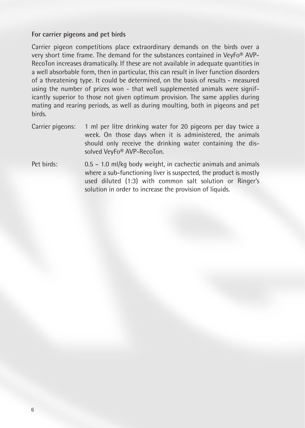#### **For carrier pigeons and pet birds**

Carrier pigeon competitions place extraordinary demands on the birds over a very short time frame. The demand for the substances contained in VeyFo® AVP-RecoTon increases dramatically. If these are not available in adequate quantities in a well absorbable form, then in particular, this can result in liver function disorders of a threatening type. It could be determined, on the basis of results - measured using the number of prizes won - that well supplemented animals were significantly superior to those not given optimum provision. The same applies during mating and rearing periods, as well as during moulting, both in pigeons and pet birds.

- Carrier pigeons: 1 ml per litre drinking water for 20 pigeons per day twice a week. On those days when it is administered, the animals should only receive the drinking water containing the dissolved VeyFo® AVP-RecoTon.
- Pet birds: 0.5 1.0 ml/kg body weight, in cachectic animals and animals where a sub-functioning liver is suspected, the product is mostly used diluted (1:3) with common salt solution or Ringer's solution in order to increase the provision of liquids.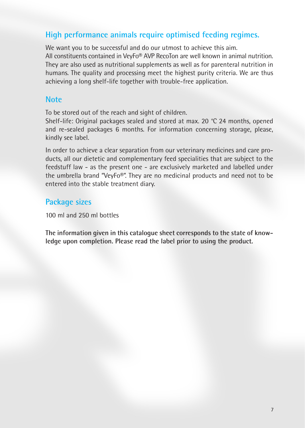#### **High performance animals require optimised feeding regimes.**

We want you to be successful and do our utmost to achieve this aim. All constituents contained in VeyFo® AVP RecoTon are well known in animal nutrition. They are also used as nutritional supplements as well as for parenteral nutrition in humans. The quality and processing meet the highest purity criteria. We are thus achieving a long shelf-life together with trouble-free application.

#### **Note**

To be stored out of the reach and sight of children.

Shelf-life: Original packages sealed and stored at max. 20 °C 24 months, opened and re-sealed packages 6 months. For information concerning storage, please, kindly see label.

In order to achieve a clear separation from our veterinary medicines and care products, all our dietetic and complementary feed specialities that are subject to the feedstuff law - as the present one - are exclusively marketed and labelled under the umbrella brand "VeyFo®". They are no medicinal products and need not to be entered into the stable treatment diary.

#### **Package sizes**

100 ml and 250 ml bottles

**The information given in this catalogue sheet corresponds to the state of knowledge upon completion. Please read the label prior to using the product.**